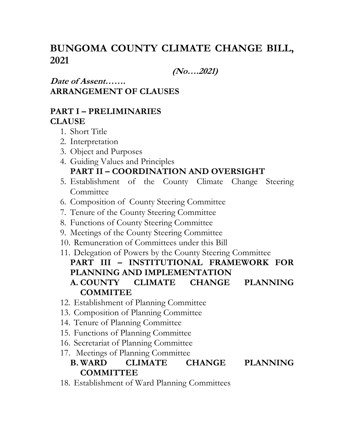# **BUNGOMA COUNTY CLIMATE CHANGE BILL, 2021**

**(No….2021)**

**Date of Assent…….**

**ARRANGEMENT OF CLAUSES**

## **PART I – PRELIMINARIES CLAUSE**

- 1. Short Title
- 2. Interpretation
- 3. Object and Purposes
- 4. Guiding Values and Principles **PART II – COORDINATION AND OVERSIGHT**
- 5. Establishment of the County Climate Change Steering Committee
- 6. Composition of County Steering Committee
- 7. Tenure of the County Steering Committee
- 8. Functions of County Steering Committee
- 9. Meetings of the County Steering Committee
- 10. Remuneration of Committees under this Bill
- 11. Delegation of Powers by the County Steering Committee **PART III – INSTITUTIONAL FRAMEWORK FOR PLANNING AND IMPLEMENTATION A. COUNTY CLIMATE CHANGE PLANNING COMMITEE**
- 12. Establishment of Planning Committee
- 13. Composition of Planning Committee
- 14. Tenure of Planning Committee
- 15. Functions of Planning Committee
- 16. Secretariat of Planning Committee
- 17. Meetings of Planning Committee

## **B. WARD CLIMATE CHANGE PLANNING COMMITTEE**

18. Establishment of Ward Planning Committees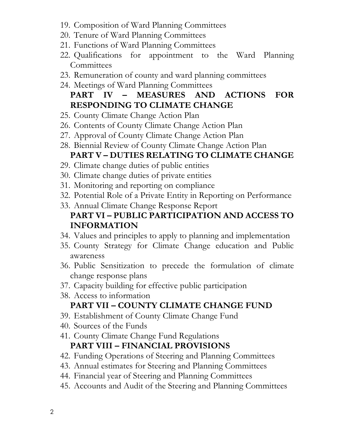- 19. Composition of Ward Planning Committees
- 20. Tenure of Ward Planning Committees
- 21. Functions of Ward Planning Committees
- 22. Qualifications for appointment to the Ward Planning **Committees**
- 23. Remuneration of county and ward planning committees
- 24. Meetings of Ward Planning Committees **PART IV – MEASURES AND ACTIONS FOR RESPONDING TO CLIMATE CHANGE**
- 25. County Climate Change Action Plan
- 26. Contents of County Climate Change Action Plan
- 27. Approval of County Climate Change Action Plan
- 28. Biennial Review of County Climate Change Action Plan **PART V – DUTIES RELATING TO CLIMATE CHANGE**
- 29. Climate change duties of public entities
- 30. Climate change duties of private entities
- 31. Monitoring and reporting on compliance
- 32. Potential Role of a Private Entity in Reporting on Performance
- 33. Annual Climate Change Response Report **PART VI – PUBLIC PARTICIPATION AND ACCESS TO INFORMATION**
- 34. Values and principles to apply to planning and implementation
- 35. County Strategy for Climate Change education and Public awareness
- 36. Public Sensitization to precede the formulation of climate change response plans
- 37. Capacity building for effective public participation
- 38. Access to information

## **PART VII – COUNTY CLIMATE CHANGE FUND**

- 39. Establishment of County Climate Change Fund
- 40. Sources of the Funds
- 41. County Climate Change Fund Regulations **PART VIII – FINANCIAL PROVISIONS**
- 42. Funding Operations of Steering and Planning Committees
- 43. Annual estimates for Steering and Planning Committees
- 44. Financial year of Steering and Planning Committees
- 45. Accounts and Audit of the Steering and Planning Committees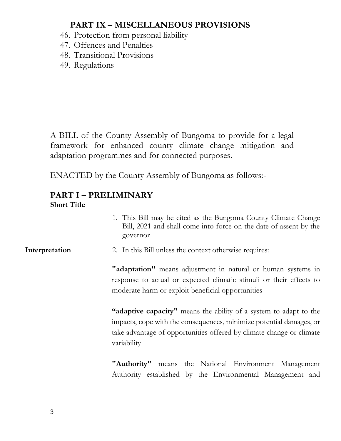## **PART IX – MISCELLANEOUS PROVISIONS**

- 46. Protection from personal liability
- 47. Offences and Penalties
- 48. Transitional Provisions
- 49. Regulations

A BILL of the County Assembly of Bungoma to provide for a legal framework for enhanced county climate change mitigation and adaptation programmes and for connected purposes.

ENACTED by the County Assembly of Bungoma as follows:-

#### **PART I – PRELIMINARY Short Title**

- 1. This Bill may be cited as the Bungoma County Climate Change Bill, 2021 and shall come into force on the date of assent by the governor
- **Interpretation** 2. In this Bill unless the context otherwise requires:

**"adaptation"** means adjustment in natural or human systems in response to actual or expected climatic stimuli or their effects to moderate harm or exploit beneficial opportunities

**"adaptive capacity"** means the ability of a system to adapt to the impacts, cope with the consequences, minimize potential damages, or take advantage of opportunities offered by climate change or climate variability

**"Authority"** means the National Environment Management Authority established by the Environmental Management and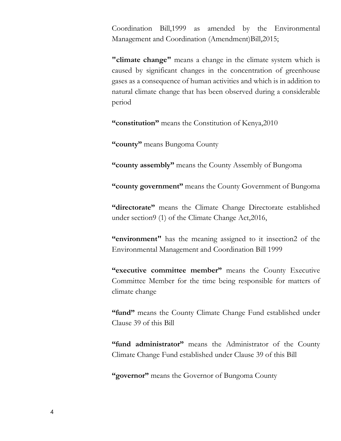Coordination Bill,1999 as amended by the Environmental Management and Coordination (Amendment)Bill,2015;

**"climate change"** means a change in the climate system which is caused by significant changes in the concentration of greenhouse gases as a consequence of human activities and which is in addition to natural climate change that has been observed during a considerable period

**"constitution"** means the Constitution of Kenya,2010

**"county"** means Bungoma County

**"county assembly"** means the County Assembly of Bungoma

**"county government"** means the County Government of Bungoma

**"directorate"** means the Climate Change Directorate established under section9 (1) of the Climate Change Act,2016,

**"environment"** has the meaning assigned to it insection2 of the Environmental Management and Coordination Bill 1999

**"executive committee member"** means the County Executive Committee Member for the time being responsible for matters of climate change

**"fund"** means the County Climate Change Fund established under Clause 39 of this Bill

**"fund administrator"** means the Administrator of the County Climate Change Fund established under Clause 39 of this Bill

**"governor"** means the Governor of Bungoma County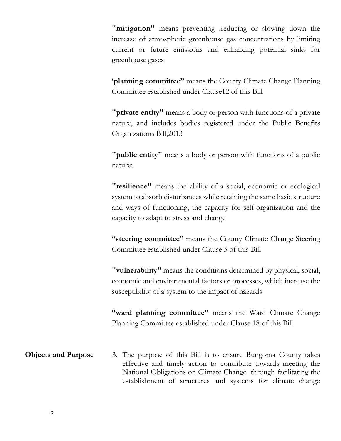**"mitigation"** means preventing , reducing or slowing down the increase of atmospheric greenhouse gas concentrations by limiting current or future emissions and enhancing potential sinks for greenhouse gases

**'planning committee"** means the County Climate Change Planning Committee established under Clause12 of this Bill

**"private entity"** means a body or person with functions of a private nature, and includes bodies registered under the Public Benefits Organizations Bill,2013

**"public entity"** means a body or person with functions of a public nature;

**"resilience"** means the ability of a social, economic or ecological system to absorb disturbances while retaining the same basic structure and ways of functioning, the capacity for self-organization and the capacity to adapt to stress and change

**"steering committee"** means the County Climate Change Steering Committee established under Clause 5 of this Bill

**"vulnerability"** means the conditions determined by physical, social, economic and environmental factors or processes, which increase the susceptibility of a system to the impact of hazards

**"ward planning committee"** means the Ward Climate Change Planning Committee established under Clause 18 of this Bill

**Objects and Purpose** 3. The purpose of this Bill is to ensure Bungoma County takes effective and timely action to contribute towards meeting the National Obligations on Climate Change through facilitating the establishment of structures and systems for climate change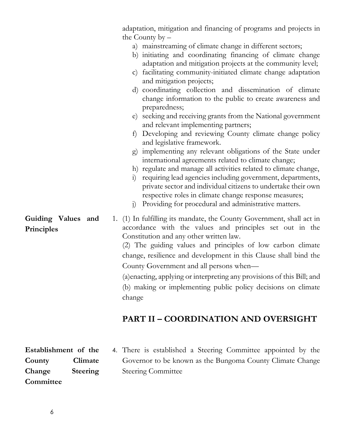|                                  | adaptation, mitigation and financing of programs and projects in<br>the County by $-$                                                                                                                                                                                                                                                                                                                                                                                                                                                                                                                                                       |
|----------------------------------|---------------------------------------------------------------------------------------------------------------------------------------------------------------------------------------------------------------------------------------------------------------------------------------------------------------------------------------------------------------------------------------------------------------------------------------------------------------------------------------------------------------------------------------------------------------------------------------------------------------------------------------------|
|                                  | a) mainstreaming of climate change in different sectors;<br>b) initiating and coordinating financing of climate change<br>adaptation and mitigation projects at the community level;<br>facilitating community-initiated climate change adaptation<br>$\mathbf{C}$ )<br>and mitigation projects;<br>d) coordinating collection and dissemination of climate<br>change information to the public to create awareness and<br>preparedness;<br>e) seeking and receiving grants from the National government<br>and relevant implementing partners;<br>Developing and reviewing County climate change policy<br>f<br>and legislative framework. |
|                                  | implementing any relevant obligations of the State under<br>g)<br>international agreements related to climate change;<br>h) regulate and manage all activities related to climate change,<br>requiring lead agencies including government, departments,<br>$\overline{1}$<br>private sector and individual citizens to undertake their own<br>respective roles in climate change response measures;<br>Providing for procedural and administrative matters.<br>$\overline{1}$                                                                                                                                                               |
| Guiding Values and<br>Principles | 1. (1) In fulfilling its mandate, the County Government, shall act in<br>accordance with the values and principles set out in the<br>Constitution and any other written law.<br>(2) The guiding values and principles of low carbon climate<br>change, resilience and development in this Clause shall bind the<br>County Government and all persons when—<br>(a) enacting, applying or interpreting any provisions of this Bill; and<br>(b) making or implementing public policy decisions on climate<br>change                                                                                                                            |
|                                  | <b>PART II - COORDINATION AND OVERSIGHT</b>                                                                                                                                                                                                                                                                                                                                                                                                                                                                                                                                                                                                 |

**Establishment of the County Climate Change Steering Committee**

4. There is established a Steering Committee appointed by the Governor to be known as the Bungoma County Climate Change Steering Committee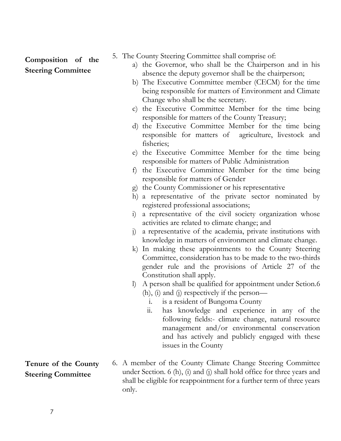## **Composition of the Steering Committee**

- 5. The County Steering Committee shall comprise of:
	- a) the Governor, who shall be the Chairperson and in his absence the deputy governor shall be the chairperson;
	- b) The Executive Committee member (CECM) for the time being responsible for matters of Environment and Climate Change who shall be the secretary.
	- c) the Executive Committee Member for the time being responsible for matters of the County Treasury;
	- d) the Executive Committee Member for the time being responsible for matters of agriculture, livestock and fisheries;
	- e) the Executive Committee Member for the time being responsible for matters of Public Administration
	- f) the Executive Committee Member for the time being responsible for matters of Gender
	- g) the County Commissioner or his representative
	- h) a representative of the private sector nominated by registered professional associations;
	- i) a representative of the civil society organization whose activities are related to climate change; and
	- j) a representative of the academia, private institutions with knowledge in matters of environment and climate change.
	- k) In making these appointments to the County Steering Committee, consideration has to be made to the two-thirds gender rule and the provisions of Article 27 of the Constitution shall apply.
	- l) A person shall be qualified for appointment under Setion.6 (h), (i) and (j) respectively if the person
		- i. is a resident of Bungoma County
		- ii. has knowledge and experience in any of the following fields:- climate change, natural resource management and/or environmental conservation and has actively and publicly engaged with these issues in the County
- 6. A member of the County Climate Change Steering Committee under Section. 6 (h), (i) and (j) shall hold office for three years and shall be eligible for reappointment for a further term of three years only.

**Tenure of the County Steering Committee**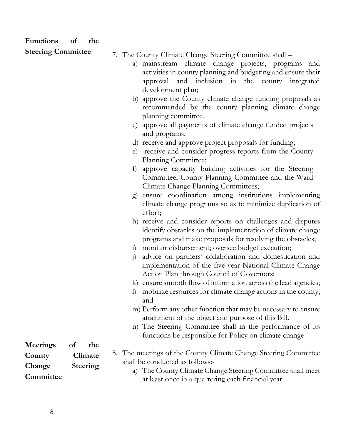| <b>Functions</b>          | of | the             |                                                                                                                                                                                                                                                           |
|---------------------------|----|-----------------|-----------------------------------------------------------------------------------------------------------------------------------------------------------------------------------------------------------------------------------------------------------|
| <b>Steering Committee</b> |    |                 |                                                                                                                                                                                                                                                           |
|                           |    |                 | 7. The County Climate Change Steering Committee shall –<br>a) mainstream climate change projects, programs<br>and<br>activities in county planning and budgeting and ensure their<br>approval and inclusion in the county integrated<br>development plan; |
|                           |    |                 | b) approve the County climate change funding proposals as<br>recommended by the county planning climate change<br>planning committee.                                                                                                                     |
|                           |    |                 | c) approve all payments of climate change funded projects<br>and programs;                                                                                                                                                                                |
|                           |    |                 | receive and approve project proposals for funding;<br>d)<br>receive and consider progress reports from the County<br>e)<br>Planning Committee;                                                                                                            |
|                           |    |                 | approve capacity building activities for the Steering<br>f)<br>Committee, County Planning Committee and the Ward<br>Climate Change Planning Committees;                                                                                                   |
|                           |    |                 | ensure coordination among institutions implementing<br>$\mathbf{g}$<br>climate change programs so as to minimize duplication of<br>effort;                                                                                                                |
|                           |    |                 | h) receive and consider reports on challenges and disputes<br>identify obstacles on the implementation of climate change<br>programs and make proposals for resolving the obstacles;                                                                      |
|                           |    |                 | i) monitor disbursement; oversee budget execution;<br>advice on partners' collaboration and domestication and<br>$\mathbf{j}$<br>implementation of the five year National Climate Change<br>Action Plan through Council of Governors;                     |
|                           |    |                 | ensure smooth flow of information across the lead agencies;<br>mobilize resources for climate change actions in the county;<br>and                                                                                                                        |
|                           |    |                 | m) Perform any other function that may be necessary to ensure<br>attainment of the object and purpose of this Bill.                                                                                                                                       |
|                           |    |                 | n) The Steering Committee shall in the performance of its<br>functions be responsible for Policy on climate change                                                                                                                                        |
| <b>Meetings</b>           | of | the             |                                                                                                                                                                                                                                                           |
| County                    |    | Climate         | 8. The meetings of the County Climate Change Steering Committee                                                                                                                                                                                           |
| Change<br>Committee       |    | <b>Steering</b> | shall be conducted as follows:-<br>a) The County Climate Change Steering Committee shall meet<br>at least once in a quartering each financial year.                                                                                                       |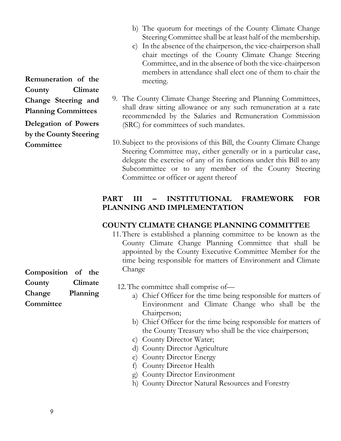- b) The quorum for meetings of the County Climate Change Steering Committee shall be at least half of the membership.
- c) In the absence of the chairperson, the vice-chairperson shall chair meetings of the County Climate Change Steering Committee, and in the absence of both the vice-chairperson members in attendance shall elect one of them to chair the meeting.
- 9. The County Climate Change Steering and Planning Committees, shall draw sitting allowance or any such remuneration at a rate recommended by the Salaries and Remuneration Commission (SRC) for committees of such mandates.
- 10. Subject to the provisions of this Bill, the County Climate Change Steering Committee may, either generally or in a particular case, delegate the exercise of any of its functions under this Bill to any Subcommittee or to any member of the County Steering Committee or officer or agent thereof

#### **PART III – INSTITUTIONAL FRAMEWORK FOR PLANNING AND IMPLEMENTATION**

#### **COUNTY CLIMATE CHANGE PLANNING COMMITTEE**

11.There is established a planning committee to be known as the County Climate Change Planning Committee that shall be appointed by the County Executive Committee Member for the time being responsible for matters of Environment and Climate Change

12.The committee shall comprise of—

- a) Chief Officer for the time being responsible for matters of Environment and Climate Change who shall be the Chairperson;
- b) Chief Officer for the time being responsible for matters of the County Treasury who shall be the vice chairperson;
- c) County Director Water;
- d) County Director Agriculture
- e) County Director Energy
- f) County Director Health
- g) County Director Environment
- h) County Director Natural Resources and Forestry

**Remuneration of the County Climate Change Steering and Planning Committees Delegation of Powers by the County Steering Committee**

**Composition of the County Climate Change Planning Committee**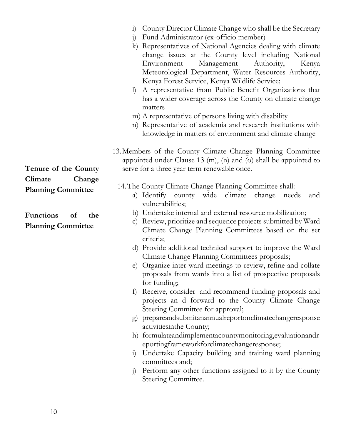- i) County Director Climate Change who shall be the Secretary
- j) Fund Administrator (ex-officio member)
- k) Representatives of National Agencies dealing with climate change issues at the County level including National Environment Management Authority, Kenya Meteorological Department, Water Resources Authority, Kenya Forest Service, Kenya Wildlife Service;
- l) A representative from Public Benefit Organizations that has a wider coverage across the County on climate change matters
- m) A representative of persons living with disability
- n) Representative of academia and research institutions with knowledge in matters of environment and climate change
- 13.Members of the County Climate Change Planning Committee appointed under Clause 13 (m), (n) and (o) shall be appointed to serve for a three year term renewable once.
	- 14.The County Climate Change Planning Committee shall:
		- a) Identify county wide climate change needs and vulnerabilities;
		- b) Undertake internal and external resource mobilization;
		- c) Review, prioritize and sequence projects submitted by Ward Climate Change Planning Committees based on the set criteria;
		- d) Provide additional technical support to improve the Ward Climate Change Planning Committees proposals;
		- e) Organize inter-ward meetings to review, refine and collate proposals from wards into a list of prospective proposals for funding;
		- f) Receive, consider and recommend funding proposals and projects an d forward to the County Climate Change Steering Committee for approval;
		- g) prepareandsubmitanannualreportonclimatechangeresponse activitiesinthe County;
		- h) formulateandimplementacountymonitoring,evaluationandr eportingframeworkforclimatechangeresponse;
		- i) Undertake Capacity building and training ward planning committees and;
		- j) Perform any other functions assigned to it by the County Steering Committee.

**Tenure of the County Climate Change Planning Committee**

**Functions of the Planning Committee**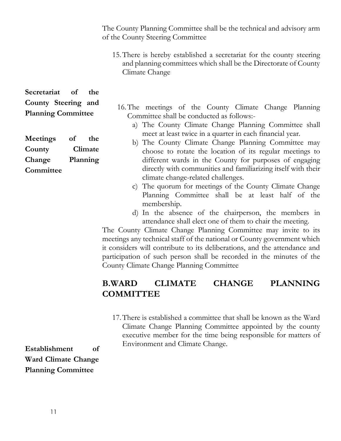The County Planning Committee shall be the technical and advisory arm of the County Steering Committee

15.There is hereby established a secretariat for the county steering and planning committees which shall be the Directorate of County Climate Change

**Secretariat of the County Steering and Planning Committee**

**Meetings of the County Climate Change Planning Committee**

- 16.The meetings of the County Climate Change Planning Committee shall be conducted as follows:
	- a) The County Climate Change Planning Committee shall meet at least twice in a quarter in each financial year.
	- b) The County Climate Change Planning Committee may choose to rotate the location of its regular meetings to different wards in the County for purposes of engaging directly with communities and familiarizing itself with their climate change-related challenges.
		- c) The quorum for meetings of the County Climate Change Planning Committee shall be at least half of the membership.
		- d) In the absence of the chairperson, the members in attendance shall elect one of them to chair the meeting.

The County Climate Change Planning Committee may invite to its meetings any technical staff of the national or County government which it considers will contribute to its deliberations, and the attendance and participation of such person shall be recorded in the minutes of the County Climate Change Planning Committee

## **B.WARD CLIMATE CHANGE PLANNING COMMITTEE**

17.There is established a committee that shall be known as the Ward Climate Change Planning Committee appointed by the county executive member for the time being responsible for matters of Environment and Climate Change.

**Establishment of Ward Climate Change Planning Committee**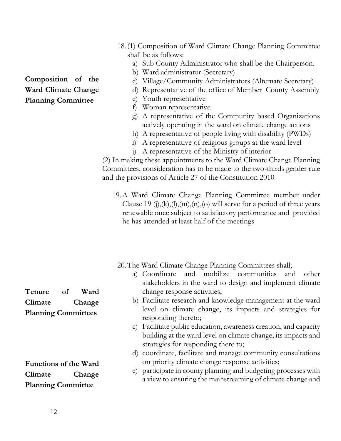- 18.(1) Composition of Ward Climate Change Planning Committee shall be as follows:
	- a) Sub County Administrator who shall be the Chairperson.
	- b) Ward administrator (Secretary)
	- c) Village/Community Administrators (Alternate Secretary)
	- d) Representative of the office of Member County Assembly
	- e) Youth representative
	- f) Woman representative
	- g) A representative of the Community based Organizations actively operating in the ward on climate change actions
	- h) A representative of people living with disability (PWDs)
	- i) A representative of religious groups at the ward level
	- j) A representative of the Ministry of interior

(2) In making these appointments to the Ward Climate Change Planning Committees, consideration has to be made to the two-thirds gender rule and the provisions of Article 27 of the Constitution 2010

19.A Ward Climate Change Planning Committee member under Clause 19 (j), $(k)$ , $(l)$ , $(m)$ , $(n)$ , $(o)$  will serve for a period of three years renewable once subject to satisfactory performance and provided he has attended at least half of the meetings

20.The Ward Climate Change Planning Committees shall;

- a) Coordinate and mobilize communities and other stakeholders in the ward to design and implement climate change response activities;
- b) Facilitate research and knowledge management at the ward level on climate change, its impacts and strategies for responding thereto;
- c) Facilitate public education, awareness creation, and capacity building at the ward level on climate change, its impacts and strategies for responding there to;
- d) coordinate, facilitate and manage community consultations on priority climate change response activities;
- e) participate in county planning and budgeting processes with a view to ensuring the mainstreaming of climate change and

**Tenure of Ward Climate Change Planning Committees**

**Functions of the Ward Climate Change Planning Committee**

## **Composition of the Ward Climate Change Planning Committee**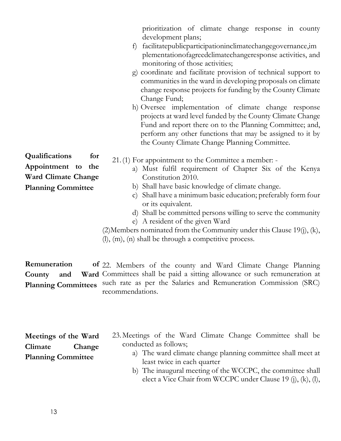prioritization of climate change response in county development plans;

- f) facilitatepublicparticipationinclimatechangegovernance,im plementationofagreedclimatechangeresponse activities, and monitoring of those activities;
- g) coordinate and facilitate provision of technical support to communities in the ward in developing proposals on climate change response projects for funding by the County Climate Change Fund;
- h) Oversee implementation of climate change response projects at ward level funded by the County Climate Change Fund and report there on to the Planning Committee; and, perform any other functions that may be assigned to it by the County Climate Change Planning Committee.
- 21.(1) For appointment to the Committee a member:
	- a) Must fulfil requirement of Chapter Six of the Kenya Constitution 2010.
		- b) Shall have basic knowledge of climate change.
		- c) Shall have a minimum basic education; preferably form four or its equivalent.
		- d) Shall be committed persons willing to serve the community
		- e) A resident of the given Ward

(2)Members nominated from the Community under this Clause 19(j), (k), (l), (m), (n) shall be through a competitive process.

**Remuneration County** and **Planning Committees** 22. Members of the county and Ward Climate Change Planning Ward Committees shall be paid a sitting allowance or such remuneration at such rate as per the Salaries and Remuneration Commission (SRC) recommendations.

|                           | Meetings of the Ward |  |  |
|---------------------------|----------------------|--|--|
| Climate                   | Change               |  |  |
| <b>Planning Committee</b> |                      |  |  |

- 23.Meetings of the Ward Climate Change Committee shall be conducted as follows;
	- a) The ward climate change planning committee shall meet at least twice in each quarter
	- b) The inaugural meeting of the WCCPC, the committee shall elect a Vice Chair from WCCPC under Clause 19 (j), (k), (l),

**Qualifications for Appointment to the Ward Climate Change Planning Committee**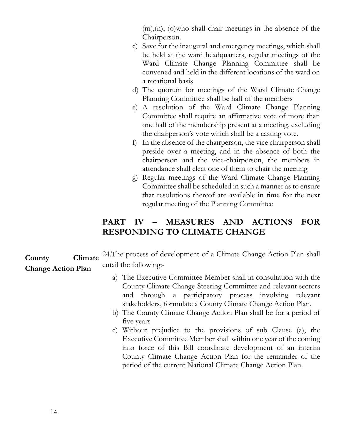(m),(n), (o)who shall chair meetings in the absence of the Chairperson.

- c) Save for the inaugural and emergency meetings, which shall be held at the ward headquarters, regular meetings of the Ward Climate Change Planning Committee shall be convened and held in the different locations of the ward on a rotational basis
- d) The quorum for meetings of the Ward Climate Change Planning Committee shall be half of the members
- e) A resolution of the Ward Climate Change Planning Committee shall require an affirmative vote of more than one half of the membership present at a meeting, excluding the chairperson's vote which shall be a casting vote.
- f) In the absence of the chairperson, the vice chairperson shall preside over a meeting, and in the absence of both the chairperson and the vice-chairperson, the members in attendance shall elect one of them to chair the meeting
- g) Regular meetings of the Ward Climate Change Planning Committee shall be scheduled in such a manner as to ensure that resolutions thereof are available in time for the next regular meeting of the Planning Committee

## **PART IV – MEASURES AND ACTIONS FOR RESPONDING TO CLIMATE CHANGE**

**County Climate Change Action Plan** 24.The process of development of a Climate Change Action Plan shall entail the following:-

- a) The Executive Committee Member shall in consultation with the County Climate Change Steering Committee and relevant sectors and through a participatory process involving relevant stakeholders, formulate a County Climate Change Action Plan.
- b) The County Climate Change Action Plan shall be for a period of five years
- c) Without prejudice to the provisions of sub Clause (a), the Executive Committee Member shall within one year of the coming into force of this Bill coordinate development of an interim County Climate Change Action Plan for the remainder of the period of the current National Climate Change Action Plan.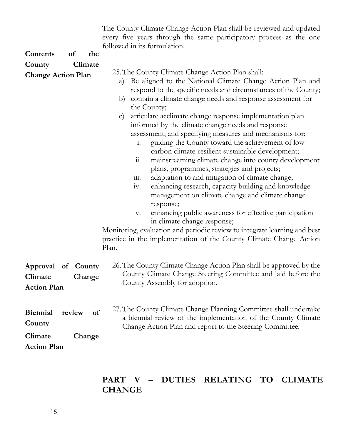The County Climate Change Action Plan shall be reviewed and updated every five years through the same participatory process as the one followed in its formulation.

| <b>Contents</b>                                            | <sub>of</sub> | the          |                                                                                                                                                                                                                                                                                                                                                                                                                                                                                                                                                                                                                                                                                                                                                                                                                                                                                                                                                                                                                                                                                                                                                                                                             |
|------------------------------------------------------------|---------------|--------------|-------------------------------------------------------------------------------------------------------------------------------------------------------------------------------------------------------------------------------------------------------------------------------------------------------------------------------------------------------------------------------------------------------------------------------------------------------------------------------------------------------------------------------------------------------------------------------------------------------------------------------------------------------------------------------------------------------------------------------------------------------------------------------------------------------------------------------------------------------------------------------------------------------------------------------------------------------------------------------------------------------------------------------------------------------------------------------------------------------------------------------------------------------------------------------------------------------------|
| County                                                     |               | Climate      |                                                                                                                                                                                                                                                                                                                                                                                                                                                                                                                                                                                                                                                                                                                                                                                                                                                                                                                                                                                                                                                                                                                                                                                                             |
| <b>Change Action Plan</b>                                  |               |              | 25. The County Climate Change Action Plan shall:<br>Be aligned to the National Climate Change Action Plan and<br>a)<br>respond to the specific needs and circumstances of the County;<br>contain a climate change needs and response assessment for<br>b)<br>the County;<br>articulate acclimate change response implementation plan<br>$\mathbf{C}$<br>informed by the climate change needs and response<br>assessment, and specifying measures and mechanisms for:<br>guiding the County toward the achievement of low<br>$\overline{1}$ .<br>carbon climate-resilient sustainable development;<br>$\dddot{a}$ .<br>mainstreaming climate change into county development<br>plans, programmes, strategies and projects;<br>$\dddot{\mathbf{m}}$ .<br>adaptation to and mitigation of climate change;<br>enhancing research, capacity building and knowledge<br>iv.<br>management on climate change and climate change<br>response;<br>enhancing public awareness for effective participation<br>$\mathbf{V}$ .<br>in climate change response;<br>Monitoring, evaluation and periodic review to integrate learning and best<br>practice in the implementation of the County Climate Change Action<br>Plan. |
| Approval of County<br>Climate<br><b>Action Plan</b>        |               | Change       | 26. The County Climate Change Action Plan shall be approved by the<br>County Climate Change Steering Committee and laid before the<br>County Assembly for adoption.                                                                                                                                                                                                                                                                                                                                                                                                                                                                                                                                                                                                                                                                                                                                                                                                                                                                                                                                                                                                                                         |
| <b>Biennial</b><br>County<br>Climate<br><b>Action Plan</b> | review        | of<br>Change | 27. The County Climate Change Planning Committee shall undertake<br>a biennial review of the implementation of the County Climate<br>Change Action Plan and report to the Steering Committee.                                                                                                                                                                                                                                                                                                                                                                                                                                                                                                                                                                                                                                                                                                                                                                                                                                                                                                                                                                                                               |

## **PART V – DUTIES RELATING TO CLIMATE CHANGE**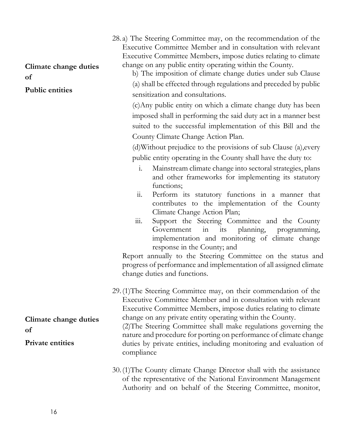| Climate change duties<br>of<br><b>Public entities</b>  | 28. a) The Steering Committee may, on the recommendation of the<br>Executive Committee Member and in consultation with relevant<br>Executive Committee Members, impose duties relating to climate<br>change on any public entity operating within the County.<br>b) The imposition of climate change duties under sub Clause<br>(a) shall be effected through regulations and preceded by public<br>sensitization and consultations.<br>(c) Any public entity on which a climate change duty has been<br>imposed shall in performing the said duty act in a manner best<br>suited to the successful implementation of this Bill and the<br>County Climate Change Action Plan.<br>(d) Without prejudice to the provisions of sub Clause (a), every<br>public entity operating in the County shall have the duty to:<br>Mainstream climate change into sectoral strategies, plans<br>$\mathbf{i}$ . |
|--------------------------------------------------------|---------------------------------------------------------------------------------------------------------------------------------------------------------------------------------------------------------------------------------------------------------------------------------------------------------------------------------------------------------------------------------------------------------------------------------------------------------------------------------------------------------------------------------------------------------------------------------------------------------------------------------------------------------------------------------------------------------------------------------------------------------------------------------------------------------------------------------------------------------------------------------------------------|
|                                                        | and other frameworks for implementing its statutory<br>functions;<br>$\dddot{\mathbf{u}}$ .<br>Perform its statutory functions in a manner that<br>contributes to the implementation of the County<br>Climate Change Action Plan;<br>$\overline{111}$ .<br>Support the Steering Committee and the County<br>its<br>planning,<br>Government<br>in<br>programming,<br>implementation and monitoring of climate change<br>response in the County; and<br>Report annually to the Steering Committee on the status and<br>progress of performance and implementation of all assigned climate<br>change duties and functions.                                                                                                                                                                                                                                                                           |
| Climate change duties<br>of<br><b>Private entities</b> | 29. (1) The Steering Committee may, on their commendation of the<br>Executive Committee Member and in consultation with relevant<br>Executive Committee Members, impose duties relating to climate<br>change on any private entity operating within the County.<br>(2) The Steering Committee shall make regulations governing the<br>nature and procedure for porting on performance of climate change<br>duties by private entities, including monitoring and evaluation of<br>compliance<br>30. (1) The County climate Change Director shall with the assistance<br>of the representative of the National Environment Management                                                                                                                                                                                                                                                               |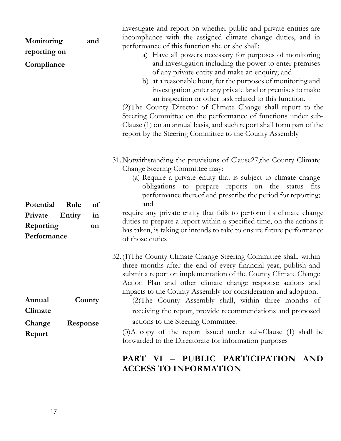| Monitoring<br>reporting on<br>Compliance                           | and            | investigate and report on whether public and private entities are<br>incompliance with the assigned climate change duties, and in<br>performance of this function she or she shall:<br>a) Have all powers necessary for purposes of monitoring<br>and investigation including the power to enter premises<br>of any private entity and make an enquiry; and<br>b) at a reasonable hour, for the purposes of monitoring and<br>investigation, enter any private land or premises to make<br>an inspection or other task related to this function.<br>(2) The County Director of Climate Change shall report to the<br>Steering Committee on the performance of functions under sub-<br>Clause (1) on an annual basis, and such report shall form part of the<br>report by the Steering Committee to the County Assembly |
|--------------------------------------------------------------------|----------------|------------------------------------------------------------------------------------------------------------------------------------------------------------------------------------------------------------------------------------------------------------------------------------------------------------------------------------------------------------------------------------------------------------------------------------------------------------------------------------------------------------------------------------------------------------------------------------------------------------------------------------------------------------------------------------------------------------------------------------------------------------------------------------------------------------------------|
| Potential<br>Role<br>Private<br>Entity<br>Reporting<br>Performance | of<br>in<br>on | 31. Notwithstanding the provisions of Clause27, the County Climate<br>Change Steering Committee may:<br>(a) Require a private entity that is subject to climate change<br>obligations to prepare reports on the status<br>fits<br>performance thereof and prescribe the period for reporting;<br>and<br>require any private entity that fails to perform its climate change<br>duties to prepare a report within a specified time, on the actions it<br>has taken, is taking or intends to take to ensure future performance<br>of those duties                                                                                                                                                                                                                                                                        |
| Annual<br>Climate<br>Change<br>Response<br>Report                  | County         | 32. (1) The County Climate Change Steering Committee shall, within<br>three months after the end of every financial year, publish and<br>submit a report on implementation of the County Climate Change<br>Action Plan and other climate change response actions and<br>impacts to the County Assembly for consideration and adoption.<br>(2) The County Assembly shall, within three months of<br>receiving the report, provide recommendations and proposed<br>actions to the Steering Committee.<br>$(3)$ A copy of the report issued under sub-Clause $(1)$ shall be<br>forwarded to the Directorate for information purposes                                                                                                                                                                                      |

## **PART VI – PUBLIC PARTICIPATION AND ACCESS TO INFORMATION**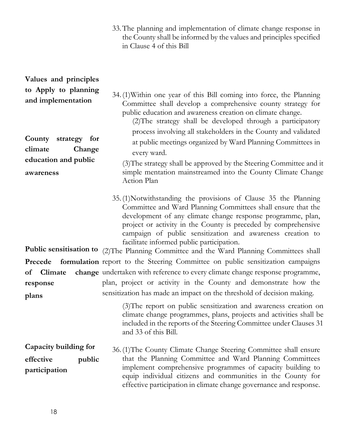33.The planning and implementation of climate change response in the County shall be informed by the values and principles specified in Clause 4 of this Bill

| Values and principles                                                                     |                                                                                                                                                                                                                                                                                                                                                                                                                  |
|-------------------------------------------------------------------------------------------|------------------------------------------------------------------------------------------------------------------------------------------------------------------------------------------------------------------------------------------------------------------------------------------------------------------------------------------------------------------------------------------------------------------|
| to Apply to planning<br>and implementation<br>County<br>strategy for<br>climate<br>Change | 34. (1) Within one year of this Bill coming into force, the Planning<br>Committee shall develop a comprehensive county strategy for<br>public education and awareness creation on climate change.<br>(2) The strategy shall be developed through a participatory<br>process involving all stakeholders in the County and validated<br>at public meetings organized by Ward Planning Committees in<br>every ward. |
| education and public<br>awareness                                                         | (3) The strategy shall be approved by the Steering Committee and it<br>simple mentation mainstreamed into the County Climate Change<br>Action Plan                                                                                                                                                                                                                                                               |
|                                                                                           | 35. (1) Notwithstanding the provisions of Clause 35 the Planning<br>Committee and Ward Planning Committees shall ensure that the<br>development of any climate change response programme, plan,<br>project or activity in the County is preceded by comprehensive<br>campaign of public sensitization and awareness creation to<br>facilitate informed public participation.                                     |
|                                                                                           | Public sensitisation to (2)The Planning Committee and the Ward Planning Committees shall                                                                                                                                                                                                                                                                                                                         |
|                                                                                           | Precede formulation report to the Steering Committee on public sensitization campaigns                                                                                                                                                                                                                                                                                                                           |
| Climate<br>of<br>response                                                                 | change undertaken with reference to every climate change response programme,<br>plan, project or activity in the County and demonstrate how the<br>sensitization has made an impact on the threshold of decision making.                                                                                                                                                                                         |
| plans                                                                                     | (3) The report on public sensitization and awareness creation on<br>climate change programmes, plans, projects and activities shall be<br>included in the reports of the Steering Committee under Clauses 31<br>and 33 of this Bill.                                                                                                                                                                             |
| Capacity building for<br>effective<br>public<br>participation                             | 36. (1) The County Climate Change Steering Committee shall ensure<br>that the Planning Committee and Ward Planning Committees<br>implement comprehensive programmes of capacity building to<br>equip individual citizens and communities in the County for<br>effective participation in climate change governance and response.                                                                                 |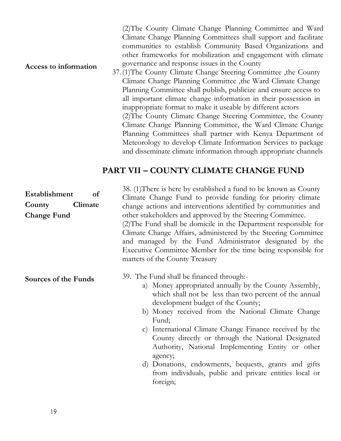(2)The County Climate Change Planning Committee and Ward Climate Change Planning Committees shall support and facilitate communities to establish Community Based Organizations and other frameworks for mobilization and engagement with climate governance and response issues in the County

#### **Access to information**

37.(1)The County Climate Change Steering Committee ,the County Climate Change Planning Committee ,the Ward Climate Change Planning Committee shall publish, publicize and ensure access to all important climate change information in their possession in inappropriate format to make it useable by different actors (2)The County Climate Change Steering Committee, the County Climate Change Planning Committee, the Ward Climate Change Planning Committees shall partner with Kenya Department of Meteorology to develop Climate Information Services to package and disseminate climate information through appropriate channels

#### **PART VII – COUNTY CLIMATE CHANGE FUND**

| Establishment<br>of<br>Climate<br>County<br><b>Change Fund</b> | 38. (1) There is here by established a fund to be known as County<br>Climate Change Fund to provide funding for priority climate<br>change actions and interventions identified by communities and<br>other stakeholders and approved by the Steering Committee.<br>(2) The Fund shall be domicile in the Department responsible for<br>Climate Change Affairs, administered by the Steering Committee<br>and managed by the Fund Administrator designated by the<br>Executive Committee Member for the time being responsible for<br>matters of the County Treasury           |
|----------------------------------------------------------------|--------------------------------------------------------------------------------------------------------------------------------------------------------------------------------------------------------------------------------------------------------------------------------------------------------------------------------------------------------------------------------------------------------------------------------------------------------------------------------------------------------------------------------------------------------------------------------|
| Sources of the Funds                                           | 39. The Fund shall be financed through:-<br>a) Money appropriated annually by the County Assembly,<br>which shall not be less than two percent of the annual<br>development budget of the County;<br>b) Money received from the National Climate Change<br>Fund;<br>c) International Climate Change Finance received by the<br>County directly or through the National Designated<br>Authority, National Implementing Entity or other<br>agency;<br>d) Donations, endowments, bequests, grants and gifts<br>from individuals, public and private entities local or<br>foreign; |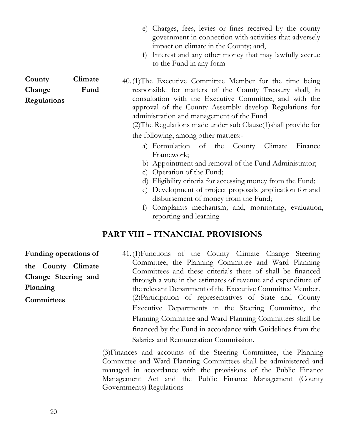- e) Charges, fees, levies or fines received by the county government in connection with activities that adversely impact on climate in the County; and,
- f) Interest and any other money that may lawfully accrue to the Fund in any form

40.(1)The Executive Committee Member for the time being responsible for matters of the County Treasury shall, in consultation with the Executive Committee, and with the approval of the County Assembly develop Regulations for administration and management of the Fund

(2)The Regulations made under sub Clause(1)shall provide for the following, among other matters:-

- a) Formulation of the County Climate Finance Framework;
- b) Appointment and removal of the Fund Administrator;
- c) Operation of the Fund;
- d) Eligibility criteria for accessing money from the Fund;
- e) Development of project proposals ,application for and disbursement of money from the Fund;
- f) Complaints mechanism; and, monitoring, evaluation, reporting and learning

## **PART VIII – FINANCIAL PROVISIONS**

**Funding operations of the County Climate Change Steering and Planning Committees**

41.(1)Functions of the County Climate Change Steering Committee, the Planning Committee and Ward Planning Committees and these criteria's there of shall be financed through a vote in the estimates of revenue and expenditure of the relevant Department of the Executive Committee Member. (2)Participation of representatives of State and County Executive Departments in the Steering Committee, the Planning Committee and Ward Planning Committees shall be financed by the Fund in accordance with Guidelines from the Salaries and Remuneration Commission.

(3)Finances and accounts of the Steering Committee, the Planning Committee and Ward Planning Committees shall be administered and managed in accordance with the provisions of the Public Finance Management Act and the Public Finance Management (County Governments) Regulations

**County Climate Change Fund Regulations**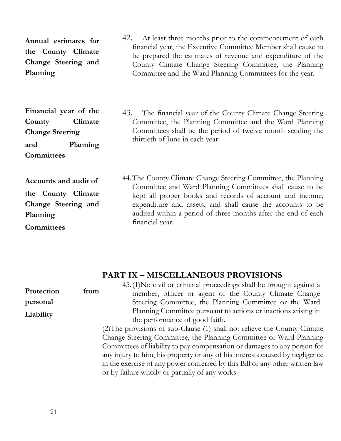**Annual estimates for the County Climate Change Steering and Planning**

**Financial year of the County Climate Change Steering and Planning Committees**

**Accounts and audit of the County Climate Change Steering and Planning Committees**

42. At least three months prior to the commencement of each financial year, the Executive Committee Member shall cause to be prepared the estimates of revenue and expenditure of the County Climate Change Steering Committee, the Planning Committee and the Ward Planning Committees for the year.

43. The financial year of the County Climate Change Steering Committee, the Planning Committee and the Ward Planning Committees shall be the period of twelve month sending the thirtieth of June in each year

44.The County Climate Change Steering Committee, the Planning Committee and Ward Planning Committees shall cause to be kept all proper books and records of account and income, expenditure and assets, and shall cause the accounts to be audited within a period of three months after the end of each financial year.

## **PART IX – MISCELLANEOUS PROVISIONS**

|            |      | 45. (1) No civil or criminal proceedings shall be brought against a          |
|------------|------|------------------------------------------------------------------------------|
| Protection | from | member, officer or agent of the County Climate Change                        |
| personal   |      | Steering Committee, the Planning Committee or the Ward                       |
| Liability  |      | Planning Committee pursuant to actions or inactions arising in               |
|            |      | the performance of good faith.                                               |
|            |      | (2) The provisions of sub-Clause (1) shall not relieve the County Climate    |
|            |      | Change Steering Committee, the Planning Committee or Ward Planning           |
|            |      | Committees of liability to pay compensation or damages to any person for     |
|            |      | any injury to him, his property or any of his interests caused by negligence |
|            |      | in the exercise of any power conferred by this Bill or any other written law |
|            |      | or by failure wholly or partially of any works                               |
|            |      |                                                                              |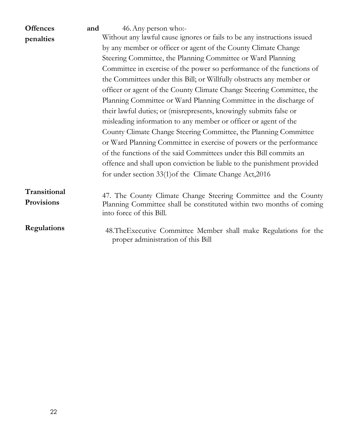| <b>Offences</b>                   | and | 46. Any person who:-                                                                                                                                               |
|-----------------------------------|-----|--------------------------------------------------------------------------------------------------------------------------------------------------------------------|
| penalties                         |     | Without any lawful cause ignores or fails to be any instructions issued                                                                                            |
|                                   |     | by any member or officer or agent of the County Climate Change                                                                                                     |
|                                   |     | Steering Committee, the Planning Committee or Ward Planning                                                                                                        |
|                                   |     | Committee in exercise of the power so performance of the functions of                                                                                              |
|                                   |     | the Committees under this Bill; or Willfully obstructs any member or                                                                                               |
|                                   |     | officer or agent of the County Climate Change Steering Committee, the                                                                                              |
|                                   |     | Planning Committee or Ward Planning Committee in the discharge of                                                                                                  |
|                                   |     | their lawful duties; or (misrepresents, knowingly submits false or                                                                                                 |
|                                   |     | misleading information to any member or officer or agent of the                                                                                                    |
|                                   |     | County Climate Change Steering Committee, the Planning Committee                                                                                                   |
|                                   |     | or Ward Planning Committee in exercise of powers or the performance                                                                                                |
|                                   |     | of the functions of the said Committees under this Bill commits an                                                                                                 |
|                                   |     | offence and shall upon conviction be liable to the punishment provided                                                                                             |
|                                   |     | for under section 33(1) of the Climate Change Act, 2016                                                                                                            |
| Transitional<br><b>Provisions</b> |     | 47. The County Climate Change Steering Committee and the County<br>Planning Committee shall be constituted within two months of coming<br>into force of this Bill. |
| Regulations                       |     | 48. The Executive Committee Member shall make Regulations for the<br>proper administration of this Bill                                                            |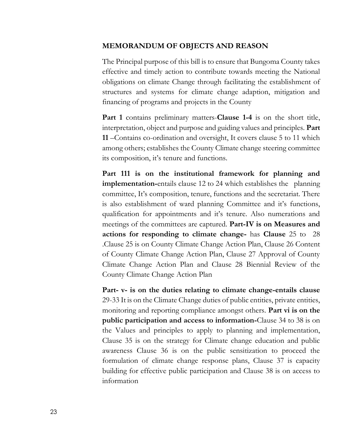#### **MEMORANDUM OF OBJECTS AND REASON**

The Principal purpose of this bill is to ensure that Bungoma County takes effective and timely action to contribute towards meeting the National obligations on climate Change through facilitating the establishment of structures and systems for climate change adaption, mitigation and financing of programs and projects in the County

**Part 1** contains preliminary matters-**Clause 1-4** is on the short title, interpretation, object and purpose and guiding values and principles. **Part 11** –Contains co-ordination and oversight, It covers clause 5 to 11 which among others; establishes the County Climate change steering committee its composition, it's tenure and functions.

**Part 111 is on the institutional framework for planning and implementation-**entails clause 12 to 24 which establishes the planning committee, It's composition, tenure, functions and the secretariat. There is also establishment of ward planning Committee and it's functions, qualification for appointments and it's tenure. Also numerations and meetings of the committees are captured. **Part-IV is on Measures and actions for responding to climate change-** has **Clause** 25 to 28 .Clause 25 is on County Climate Change Action Plan, Clause 26 Content of County Climate Change Action Plan, Clause 27 Approval of County Climate Change Action Plan and Clause 28 Biennial Review of the County Climate Change Action Plan

**Part- v- is on the duties relating to climate change-entails clause**  29-33 It is on the Climate Change duties of public entities, private entities, monitoring and reporting compliance amongst others. **Part vi is on the public participation and access to information-**Clause 34 to 38 is on the Values and principles to apply to planning and implementation, Clause 35 is on the strategy for Climate change education and public awareness Clause 36 is on the public sensitization to proceed the formulation of climate change response plans, Clause 37 is capacity building for effective public participation and Clause 38 is on access to information